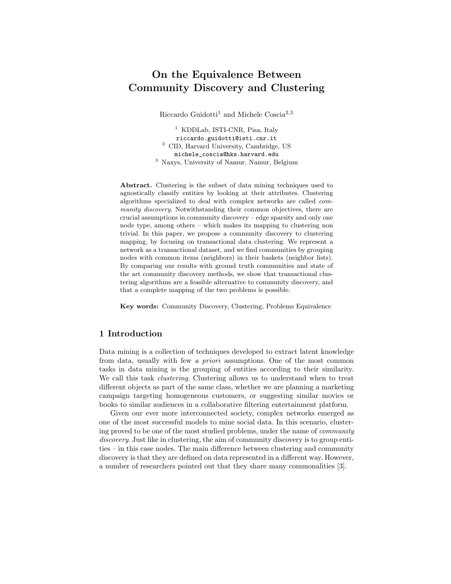# On the Equivalence Between Community Discovery and Clustering

Riccardo Guidotti<sup>1</sup> and Michele Coscia<sup>2,3</sup>

<sup>1</sup> KDDLab, ISTI-CNR, Pisa, Italy riccardo.guidotti@isti.cnr.it <sup>2</sup> CID, Harvard University, Cambridge, US michele\_coscia@hks.harvard.edu <sup>3</sup> Naxys, University of Namur, Namur, Belgium

Abstract. Clustering is the subset of data mining techniques used to agnostically classify entities by looking at their attributes. Clustering algorithms specialized to deal with complex networks are called community discovery. Notwithstanding their common objectives, there are crucial assumptions in community discovery – edge sparsity and only one node type, among others – which makes its mapping to clustering non trivial. In this paper, we propose a community discovery to clustering mapping, by focusing on transactional data clustering. We represent a network as a transactional dataset, and we find communities by grouping nodes with common items (neighbors) in their baskets (neighbor lists). By comparing our results with ground truth communities and state of the art community discovery methods, we show that transactional clustering algorithms are a feasible alternative to community discovery, and that a complete mapping of the two problems is possible.

Key words: Community Discovery, Clustering, Problems Equivalence

# 1 Introduction

Data mining is a collection of techniques developed to extract latent knowledge from data, usually with few a priori assumptions. One of the most common tasks in data mining is the grouping of entities according to their similarity. We call this task clustering. Clustering allows us to understand when to treat different objects as part of the same class, whether we are planning a marketing campaign targeting homogeneous customers, or suggesting similar movies or books to similar audiences in a collaborative filtering entertainment platform.

Given our ever more interconnected society, complex networks emerged as one of the most successful models to mine social data. In this scenario, clustering proved to be one of the most studied problems, under the name of community discovery. Just like in clustering, the aim of community discovery is to group entities – in this case nodes. The main difference between clustering and community discovery is that they are defined on data represented in a different way. However, a number of researchers pointed out that they share many commonalities [3].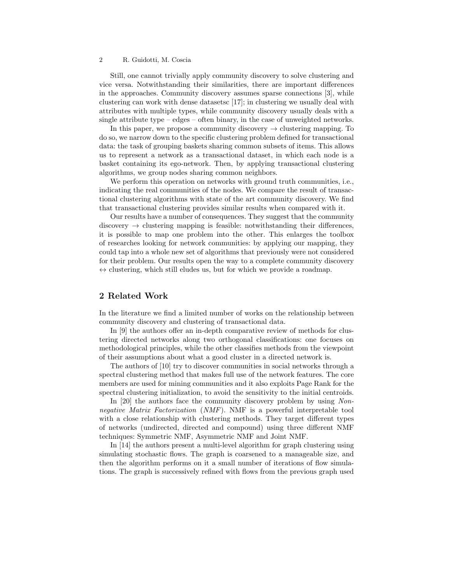#### 2 R. Guidotti, M. Coscia

Still, one cannot trivially apply community discovery to solve clustering and vice versa. Notwithstanding their similarities, there are important differences in the approaches. Community discovery assumes sparse connections [3], while clustering can work with dense datasetsc [17]; in clustering we usually deal with attributes with multiple types, while community discovery usually deals with a single attribute type – edges – often binary, in the case of unweighted networks.

In this paper, we propose a community discovery  $\rightarrow$  clustering mapping. To do so, we narrow down to the specific clustering problem defined for transactional data: the task of grouping baskets sharing common subsets of items. This allows us to represent a network as a transactional dataset, in which each node is a basket containing its ego-network. Then, by applying transactional clustering algorithms, we group nodes sharing common neighbors.

We perform this operation on networks with ground truth communities, i.e., indicating the real communities of the nodes. We compare the result of transactional clustering algorithms with state of the art community discovery. We find that transactional clustering provides similar results when compared with it.

Our results have a number of consequences. They suggest that the community discovery  $\rightarrow$  clustering mapping is feasible: notwithstanding their differences, it is possible to map one problem into the other. This enlarges the toolbox of researches looking for network communities: by applying our mapping, they could tap into a whole new set of algorithms that previously were not considered for their problem. Our results open the way to a complete community discovery  $\leftrightarrow$  clustering, which still eludes us, but for which we provide a roadmap.

## 2 Related Work

In the literature we find a limited number of works on the relationship between community discovery and clustering of transactional data.

In [9] the authors offer an in-depth comparative review of methods for clustering directed networks along two orthogonal classifications: one focuses on methodological principles, while the other classifies methods from the viewpoint of their assumptions about what a good cluster in a directed network is.

The authors of [10] try to discover communities in social networks through a spectral clustering method that makes full use of the network features. The core members are used for mining communities and it also exploits Page Rank for the spectral clustering initialization, to avoid the sensitivity to the initial centroids.

In [20] the authors face the community discovery problem by using Nonnegative Matrix Factorization (NMF). NMF is a powerful interpretable tool with a close relationship with clustering methods. They target different types of networks (undirected, directed and compound) using three different NMF techniques: Symmetric NMF, Asymmetric NMF and Joint NMF.

In [14] the authors present a multi-level algorithm for graph clustering using simulating stochastic flows. The graph is coarsened to a manageable size, and then the algorithm performs on it a small number of iterations of flow simulations. The graph is successively refined with flows from the previous graph used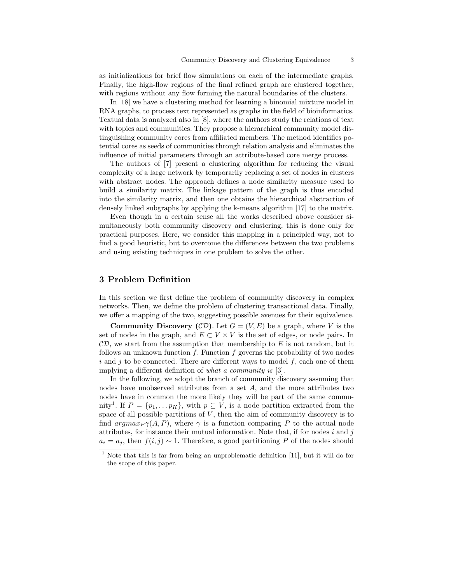as initializations for brief flow simulations on each of the intermediate graphs. Finally, the high-flow regions of the final refined graph are clustered together, with regions without any flow forming the natural boundaries of the clusters.

In [18] we have a clustering method for learning a binomial mixture model in RNA graphs, to process text represented as graphs in the field of bioinformatics. Textual data is analyzed also in [8], where the authors study the relations of text with topics and communities. They propose a hierarchical community model distinguishing community cores from affiliated members. The method identifies potential cores as seeds of communities through relation analysis and eliminates the influence of initial parameters through an attribute-based core merge process.

The authors of [7] present a clustering algorithm for reducing the visual complexity of a large network by temporarily replacing a set of nodes in clusters with abstract nodes. The approach defines a node similarity measure used to build a similarity matrix. The linkage pattern of the graph is thus encoded into the similarity matrix, and then one obtains the hierarchical abstraction of densely linked subgraphs by applying the k-means algorithm [17] to the matrix.

Even though in a certain sense all the works described above consider simultaneously both community discovery and clustering, this is done only for practical purposes. Here, we consider this mapping in a principled way, not to find a good heuristic, but to overcome the differences between the two problems and using existing techniques in one problem to solve the other.

## 3 Problem Definition

In this section we first define the problem of community discovery in complex networks. Then, we define the problem of clustering transactional data. Finally, we offer a mapping of the two, suggesting possible avenues for their equivalence.

**Community Discovery (CD)**. Let  $G = (V, E)$  be a graph, where V is the set of nodes in the graph, and  $E \subset V \times V$  is the set of edges, or node pairs. In  $CD$ , we start from the assumption that membership to  $E$  is not random, but it follows an unknown function  $f$ . Function  $f$  governs the probability of two nodes i and j to be connected. There are different ways to model  $f$ , each one of them implying a different definition of what a community is [3].

In the following, we adopt the branch of community discovery assuming that nodes have unobserved attributes from a set A, and the more attributes two nodes have in common the more likely they will be part of the same community<sup>1</sup>. If  $P = \{p_1, \ldots p_K\}$ , with  $p \subseteq V$ , is a node partition extracted from the space of all possible partitions of  $V$ , then the aim of community discovery is to find  $argmax_{P} \gamma(A, P)$ , where  $\gamma$  is a function comparing P to the actual node attributes, for instance their mutual information. Note that, if for nodes  $i$  and  $j$  $a_i = a_j$ , then  $f(i, j) \sim 1$ . Therefore, a good partitioning P of the nodes should

 $1$  Note that this is far from being an unproblematic definition [11], but it will do for the scope of this paper.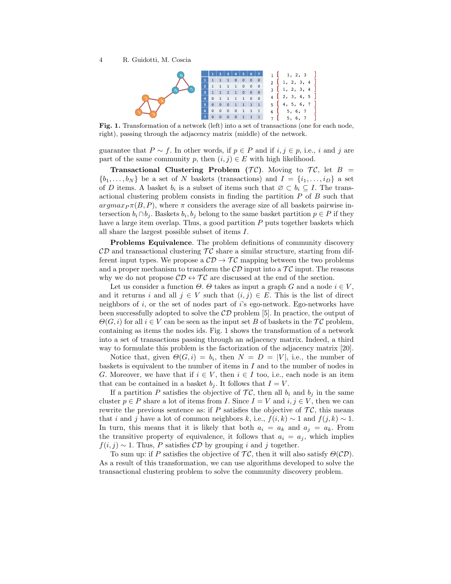

Fig. 1. Transformation of a network (left) into a set of transactions (one for each node, right), passing through the adjacency matrix (middle) of the network.

guarantee that  $P \sim f$ . In other words, if  $p \in P$  and if  $i, j \in p$ , i.e., i and j are part of the same community p, then  $(i, j) \in E$  with high likelihood.

**Transactional Clustering Problem** ( $TC$ ). Moving to  $TC$ , let  $B =$  $\{b_1, \ldots, b_N\}$  be a set of N baskets (transactions) and  $I = \{i_1, \ldots, i_D\}$  a set of D items. A basket  $b_i$  is a subset of items such that  $\emptyset \subset b_i \subseteq I$ . The transactional clustering problem consists in finding the partition  $P$  of  $B$  such that  $argmax_{P} \pi(B, P)$ , where  $\pi$  considers the average size of all baskets pairwise intersection  $b_i \cap b_j$ . Baskets  $b_i, b_j$  belong to the same basket partition  $p \in P$  if they have a large item overlap. Thus, a good partition  $P$  puts together baskets which all share the largest possible subset of items I.

Problems Equivalence. The problem definitions of community discovery  $CD$  and transactional clustering  $TC$  share a similar structure, starting from different input types. We propose a  $\mathcal{CD} \to \mathcal{TC}$  mapping between the two problems and a proper mechanism to transform the  $\mathcal{CD}$  input into a  $\mathcal{TC}$  input. The reasons why we do not propose  $\mathcal{CD} \leftrightarrow \mathcal{TC}$  are discussed at the end of the section.

Let us consider a function  $\Theta$ .  $\Theta$  takes as input a graph G and a node  $i \in V$ , and it returns i and all  $j \in V$  such that  $(i, j) \in E$ . This is the list of direct neighbors of  $i$ , or the set of nodes part of  $i$ 's ego-network. Ego-networks have been successfully adopted to solve the  $CD$  problem [5]. In practice, the output of  $\Theta(G, i)$  for all  $i \in V$  can be seen as the input set B of baskets in the TC problem, containing as items the nodes ids. Fig. 1 shows the transformation of a network into a set of transactions passing through an adjacency matrix. Indeed, a third way to formulate this problem is the factorization of the adjacency matrix [20].

Notice that, given  $\Theta(G, i) = b_i$ , then  $N = D = |V|$ , i.e., the number of baskets is equivalent to the number of items in  $I$  and to the number of nodes in G. Moreover, we have that if  $i \in V$ , then  $i \in I$  too, i.e., each node is an item that can be contained in a basket  $b_j$ . It follows that  $I = V$ .

If a partition P satisfies the objective of  $\mathcal{TC}$ , then all  $b_i$  and  $b_j$  in the same cluster  $p \in P$  share a lot of items from *I*. Since  $I = V$  and  $i, j \in V$ , then we can rewrite the previous sentence as: if P satisfies the objective of  $\mathcal{TC}$ , this means that i and j have a lot of common neighbors k, i.e.,  $f(i,k) \sim 1$  and  $f(j,k) \sim 1$ . In turn, this means that it is likely that both  $a_i = a_k$  and  $a_j = a_k$ . From the transitive property of equivalence, it follows that  $a_i = a_j$ , which implies  $f(i, j) \sim 1$ . Thus, P satisfies  $\mathcal{CD}$  by grouping i and j together.

To sum up: if P satisfies the objective of  $TC$ , then it will also satisfy  $\Theta(CD)$ . As a result of this transformation, we can use algorithms developed to solve the transactional clustering problem to solve the community discovery problem.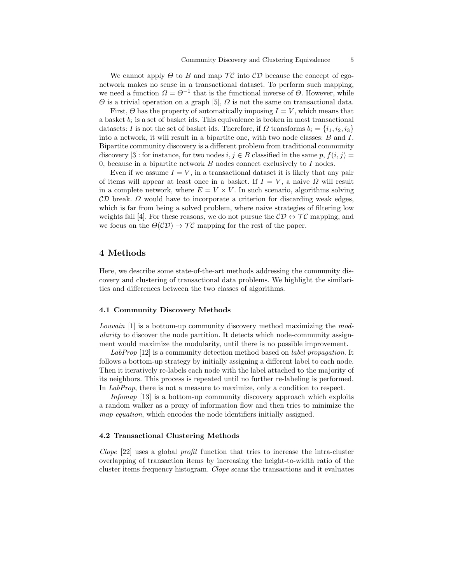We cannot apply  $\Theta$  to B and map  $\mathcal{TC}$  into  $\mathcal{CD}$  because the concept of egonetwork makes no sense in a transactional dataset. To perform such mapping, we need a function  $\Omega = \Theta^{-1}$  that is the functional inverse of  $\Theta$ . However, while  $\Theta$  is a trivial operation on a graph [5],  $\Omega$  is not the same on transactional data.

First,  $\Theta$  has the property of automatically imposing  $I = V$ , which means that a basket  $b_i$  is a set of basket ids. This equivalence is broken in most transactional datasets: I is not the set of basket ids. Therefore, if  $\Omega$  transforms  $b_i = \{i_1, i_2, i_3\}$ into a network, it will result in a bipartite one, with two node classes: B and I. Bipartite community discovery is a different problem from traditional community discovery [3]: for instance, for two nodes  $i, j \in B$  classified in the same p,  $f(i, j) =$ 0, because in a bipartite network  $B$  nodes connect exclusively to  $I$  nodes.

Even if we assume  $I = V$ , in a transactional dataset it is likely that any pair of items will appear at least once in a basket. If  $I = V$ , a naive  $\Omega$  will result in a complete network, where  $E = V \times V$ . In such scenario, algorithms solving  $CD$  break.  $\Omega$  would have to incorporate a criterion for discarding weak edges, which is far from being a solved problem, where naive strategies of filtering low weights fail [4]. For these reasons, we do not pursue the  $CD \leftrightarrow \mathcal{TC}$  mapping, and we focus on the  $\Theta(\mathcal{CD}) \to \mathcal{TC}$  mapping for the rest of the paper.

### 4 Methods

Here, we describe some state-of-the-art methods addressing the community discovery and clustering of transactional data problems. We highlight the similarities and differences between the two classes of algorithms.

#### 4.1 Community Discovery Methods

Louvain [1] is a bottom-up community discovery method maximizing the modularity to discover the node partition. It detects which node-community assignment would maximize the modularity, until there is no possible improvement.

LabProp [12] is a community detection method based on *label propagation*. It follows a bottom-up strategy by initially assigning a different label to each node. Then it iteratively re-labels each node with the label attached to the majority of its neighbors. This process is repeated until no further re-labeling is performed. In LabProp, there is not a measure to maximize, only a condition to respect.

Infomap [13] is a bottom-up community discovery approach which exploits a random walker as a proxy of information flow and then tries to minimize the map equation, which encodes the node identifiers initially assigned.

#### 4.2 Transactional Clustering Methods

Clope  $[22]$  uses a global profit function that tries to increase the intra-cluster overlapping of transaction items by increasing the height-to-width ratio of the cluster items frequency histogram. Clope scans the transactions and it evaluates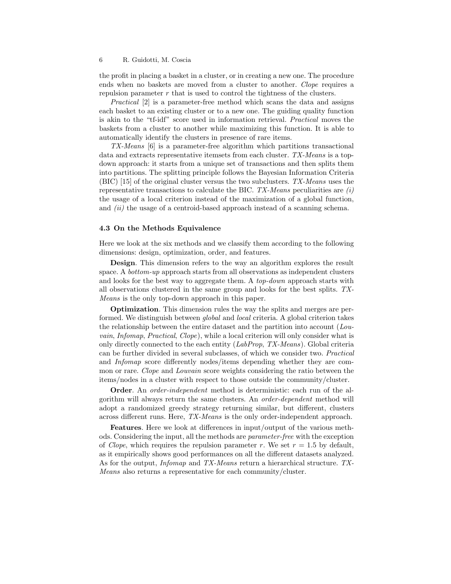#### 6 R. Guidotti, M. Coscia

the profit in placing a basket in a cluster, or in creating a new one. The procedure ends when no baskets are moved from a cluster to another. Clope requires a repulsion parameter r that is used to control the tightness of the clusters.

Practical [2] is a parameter-free method which scans the data and assigns each basket to an existing cluster or to a new one. The guiding quality function is akin to the "tf-idf" score used in information retrieval. Practical moves the baskets from a cluster to another while maximizing this function. It is able to automatically identify the clusters in presence of rare items.

TX-Means [6] is a parameter-free algorithm which partitions transactional data and extracts representative itemsets from each cluster. TX-Means is a topdown approach: it starts from a unique set of transactions and then splits them into partitions. The splitting principle follows the Bayesian Information Criteria (BIC) [15] of the original cluster versus the two subclusters. TX-Means uses the representative transactions to calculate the BIC. TX-Means peculiarities are  $(i)$ the usage of a local criterion instead of the maximization of a global function, and *(ii)* the usage of a centroid-based approach instead of a scanning schema.

#### 4.3 On the Methods Equivalence

Here we look at the six methods and we classify them according to the following dimensions: design, optimization, order, and features.

Design. This dimension refers to the way an algorithm explores the result space. A bottom-up approach starts from all observations as independent clusters and looks for the best way to aggregate them. A top-down approach starts with all observations clustered in the same group and looks for the best splits. TX-Means is the only top-down approach in this paper.

Optimization. This dimension rules the way the splits and merges are performed. We distinguish between global and local criteria. A global criterion takes the relationship between the entire dataset and the partition into account (Louvain, Infomap, Practical, Clope), while a local criterion will only consider what is only directly connected to the each entity (LabProp, TX-Means). Global criteria can be further divided in several subclasses, of which we consider two. Practical and Infomap score differently nodes/items depending whether they are common or rare. Clope and Louvain score weights considering the ratio between the items/nodes in a cluster with respect to those outside the community/cluster.

Order. An order-independent method is deterministic: each run of the algorithm will always return the same clusters. An order-dependent method will adopt a randomized greedy strategy returning similar, but different, clusters across different runs. Here, TX-Means is the only order-independent approach.

Features. Here we look at differences in input/output of the various methods. Considering the input, all the methods are parameter-free with the exception of Clope, which requires the repulsion parameter r. We set  $r = 1.5$  by default, as it empirically shows good performances on all the different datasets analyzed. As for the output, Infomap and TX-Means return a hierarchical structure. TX-Means also returns a representative for each community/cluster.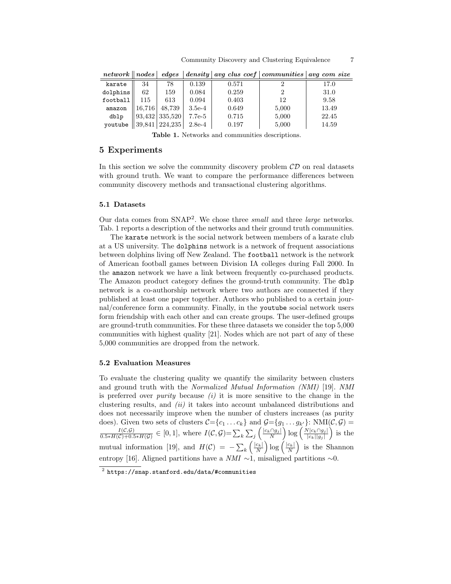| karate   | 34     | 78                   | 0.139    | 0.571 |       | 17.0  |
|----------|--------|----------------------|----------|-------|-------|-------|
| dolphins | 62     | 159                  | 0.084    | 0.259 | 2     | 31.0  |
| football | 115    | 613                  | 0.094    | 0.403 | 12    | 9.58  |
| amazon   | 16,716 | 48,739               | $3.5e-4$ | 0.649 | 5,000 | 13.49 |
| dblp     |        | $93,432$   $335,520$ | $7.7e-5$ | 0.715 | 5,000 | 22.45 |
| youtube  |        | 39,841 224,235       | $2.8e-4$ | 0.197 | 5,000 | 14.59 |

network  $\parallel$  nodes  $\parallel$  edges  $\parallel$  density  $\parallel$  avg clus coef  $\parallel$  communities  $\parallel$  avg com size

Table 1. Networks and communities descriptions.

# 5 Experiments

In this section we solve the community discovery problem  $\mathcal{CD}$  on real datasets with ground truth. We want to compare the performance differences between community discovery methods and transactional clustering algorithms.

#### 5.1 Datasets

Our data comes from  $SNAP^2$ . We chose three small and three large networks. Tab. 1 reports a description of the networks and their ground truth communities.

The karate network is the social network between members of a karate club at a US university. The dolphins network is a network of frequent associations between dolphins living off New Zealand. The football network is the network of American football games between Division IA colleges during Fall 2000. In the amazon network we have a link between frequently co-purchased products. The Amazon product category defines the ground-truth community. The dblp network is a co-authorship network where two authors are connected if they published at least one paper together. Authors who published to a certain journal/conference form a community. Finally, in the youtube social network users form friendship with each other and can create groups. The user-defined groups are ground-truth communities. For these three datasets we consider the top 5,000 communities with highest quality [21]. Nodes which are not part of any of these 5,000 communities are dropped from the network.

#### 5.2 Evaluation Measures

To evaluate the clustering quality we quantify the similarity between clusters and ground truth with the Normalized Mutual Information (NMI) [19]. NMI is preferred over *purity* because  $(i)$  it is more sensitive to the change in the clustering results, and (ii) it takes into account unbalanced distributions and does not necessarily improve when the number of clusters increases (as purity does). Given two sets of clusters  $C = \{c_1 \dots c_k\}$  and  $\mathcal{G} = \{g_1 \dots g_{k'}\}$ : NMI $(C, \mathcal{G})$  =  $I(\mathcal{C}, \mathcal{G})$  $\frac{I(\mathcal{C},\mathcal{G})}{0.5 * H(\mathcal{C}) + 0.5 * H(\mathcal{G})} \in [0,1],$  where  $I(\mathcal{C},\mathcal{G}) = \sum_k \sum_j \left( \frac{|c_k \cap g_j|}{N} \right) \log \left( \frac{N|c_k \cap g_j|}{|c_k||g_j|} \right)$  $\frac{\sqrt{|c_k \cap g_j|}}{|c_k||g_j|}$ ) is the mutual information [19], and  $H(\mathcal{C}) = -\sum_{k} \left( \frac{|c_k|}{N} \right) \log \left( \frac{|c_k|}{N} \right)$  is the Shannon entropy [16]. Aligned partitions have a NMI ∼1, misaligned partitions ∼0.

 $^2$  https://snap.stanford.edu/data/#communities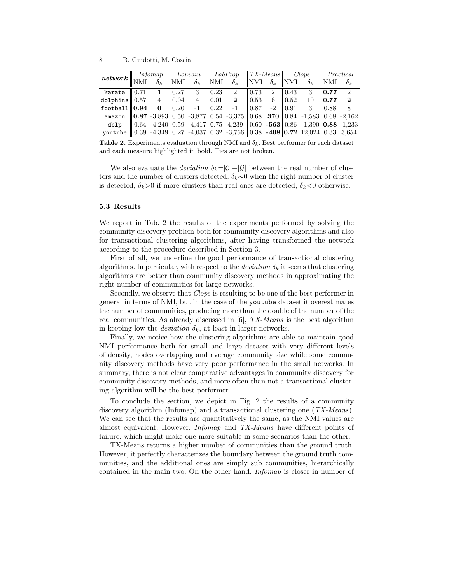<sup>8</sup> R. Guidotti, M. Coscia

| $\left. \bm{network} \, \right\  \mathop{\text{NMI}}\limits_{\mathbf{NMI}} \quad \delta_k$ | Infomap |                |             |                                                                                         | $Lowvain$ $LabProp$ $ TX-Means$ $Clope$ |                |                  |                |                         |            | Practical |                |
|--------------------------------------------------------------------------------------------|---------|----------------|-------------|-----------------------------------------------------------------------------------------|-----------------------------------------|----------------|------------------|----------------|-------------------------|------------|-----------|----------------|
|                                                                                            |         |                | $\vert$ NMI | $\delta_k$                                                                              |                                         | NMI $\delta_k$ | $\parallel$ NMI  | $\delta_k$     | $\overline{\rm\bf NMI}$ | $\delta_k$ | NMI       | $\delta_k$     |
| karate $\parallel 0.71$                                                                    |         |                | 0.27        | 3                                                                                       | 0.23                                    | $2^{\circ}$    | $\parallel$ 0.73 | $\overline{2}$ | $\mid 0.43$             | 3          | 0.77      | $\overline{2}$ |
| $d$ olphins $  0.57$                                                                       |         | $\overline{4}$ | $\pm 0.04$  | $\overline{4}$                                                                          | $\mid$ 0.01                             | $\overline{2}$ | $\parallel$ 0.53 | 6              | $\mid$ 0.52             | 10         | 0.77      | $\mathbf{2}$   |
| football $ 0.94 $                                                                          |         | $\bf{0}$       |             | $\begin{array}{cccc} \n\begin{array}{ccc} 0.20 & -1 & 0.22 \n\end{array} \n\end{array}$ |                                         | $-1$           | $\parallel 0.87$ |                | $-2 \ 10.91$            |            | 0.88      | 8              |
| amazon $\ 0.87 - 3.893\ 0.50 - 3.877\ 0.54 - 3.375\ 0.68$ 370 0.84 -1.583 0.68 -2.162      |         |                |             |                                                                                         |                                         |                |                  |                |                         |            |           |                |
| dblp $\ 0.64 -4.240\ 0.59 -4.417\ 0.75 -4.239\ 0.60 -563\ 0.86 -1,390\ 0.88 -1,233$        |         |                |             |                                                                                         |                                         |                |                  |                |                         |            |           |                |
| youtube $\ 0.39 -4.349\ 0.27 -4.037\ 0.32 -3.756\ 0.38 -408\ 0.72\ 12.024\ 0.33\ 3.654$    |         |                |             |                                                                                         |                                         |                |                  |                |                         |            |           |                |

**Table 2.** Experiments evaluation through NMI and  $\delta_k$ . Best performer for each dataset and each measure highlighted in bold. Ties are not broken.

We also evaluate the *deviation*  $\delta_k = |\mathcal{C}| - |\mathcal{G}|$  between the real number of clusters and the number of clusters detected:  $\delta_k \sim 0$  when the right number of cluster is detected,  $\delta_k>0$  if more clusters than real ones are detected,  $\delta_k<0$  otherwise.

#### 5.3 Results

We report in Tab. 2 the results of the experiments performed by solving the community discovery problem both for community discovery algorithms and also for transactional clustering algorithms, after having transformed the network according to the procedure described in Section 3.

First of all, we underline the good performance of transactional clustering algorithms. In particular, with respect to the *deviation*  $\delta_k$  it seems that clustering algorithms are better than community discovery methods in approximating the right number of communities for large networks.

Secondly, we observe that Clope is resulting to be one of the best performer in general in terms of NMI, but in the case of the youtube dataset it overestimates the number of communities, producing more than the double of the number of the real communities. As already discussed in [6], TX-Means is the best algorithm in keeping low the *deviation*  $\delta_k$ , at least in larger networks.

Finally, we notice how the clustering algorithms are able to maintain good NMI performance both for small and large dataset with very different levels of density, nodes overlapping and average community size while some community discovery methods have very poor performance in the small networks. In summary, there is not clear comparative advantages in community discovery for community discovery methods, and more often than not a transactional clustering algorithm will be the best performer.

To conclude the section, we depict in Fig. 2 the results of a community discovery algorithm (Infomap) and a transactional clustering one (*TX-Means*). We can see that the results are quantitatively the same, as the NMI values are almost equivalent. However, Infomap and TX-Means have different points of failure, which might make one more suitable in some scenarios than the other.

TX-Means returns a higher number of communities than the ground truth. However, it perfectly characterizes the boundary between the ground truth communities, and the additional ones are simply sub communities, hierarchically contained in the main two. On the other hand, Infomap is closer in number of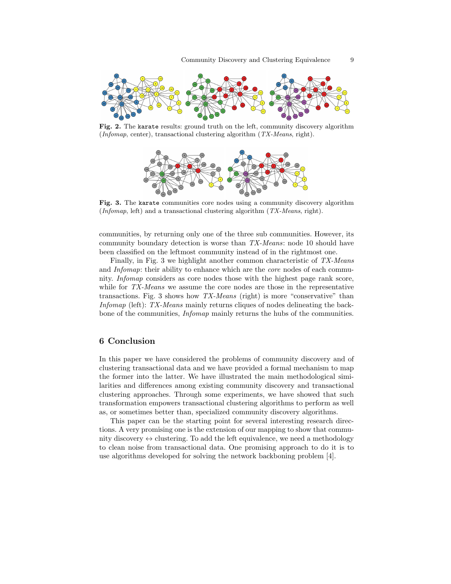

Fig. 2. The karate results: ground truth on the left, community discovery algorithm (Infomap, center), transactional clustering algorithm (TX-Means, right).



Fig. 3. The karate communities core nodes using a community discovery algorithm (Infomap, left) and a transactional clustering algorithm (TX-Means, right).

communities, by returning only one of the three sub communities. However, its community boundary detection is worse than TX-Means: node 10 should have been classified on the leftmost community instead of in the rightmost one.

Finally, in Fig. 3 we highlight another common characteristic of TX-Means and Infomap: their ability to enhance which are the *core* nodes of each community. Infomap considers as core nodes those with the highest page rank score, while for TX-Means we assume the core nodes are those in the representative transactions. Fig. 3 shows how TX-Means (right) is more "conservative" than Infomap (left): TX-Means mainly returns cliques of nodes delineating the backbone of the communities, Infomap mainly returns the hubs of the communities.

# 6 Conclusion

In this paper we have considered the problems of community discovery and of clustering transactional data and we have provided a formal mechanism to map the former into the latter. We have illustrated the main methodological similarities and differences among existing community discovery and transactional clustering approaches. Through some experiments, we have showed that such transformation empowers transactional clustering algorithms to perform as well as, or sometimes better than, specialized community discovery algorithms.

This paper can be the starting point for several interesting research directions. A very promising one is the extension of our mapping to show that community discovery  $\leftrightarrow$  clustering. To add the left equivalence, we need a methodology to clean noise from transactional data. One promising approach to do it is to use algorithms developed for solving the network backboning problem [4].